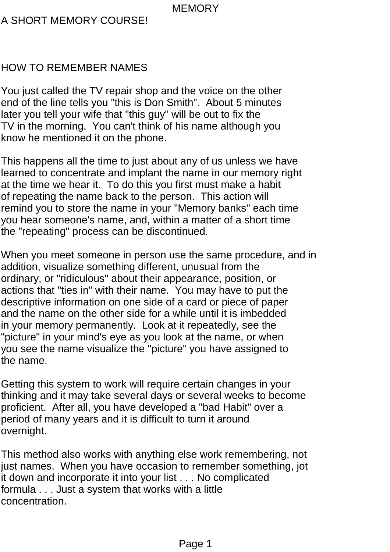## A SHORT MEMORY COURSE!

## HOW TO REMEMBER NAMES

You just called the TV repair shop and the voice on the other end of the line tells you "this is Don Smith". About 5 minutes later you tell your wife that "this guy" will be out to fix the TV in the morning. You can't think of his name although you know he mentioned it on the phone.

This happens all the time to just about any of us unless we have learned to concentrate and implant the name in our memory right at the time we hear it. To do this you first must make a habit of repeating the name back to the person. This action will remind you to store the name in your "Memory banks" each time you hear someone's name, and, within a matter of a short time the "repeating" process can be discontinued.

When you meet someone in person use the same procedure, and in addition, visualize something different, unusual from the ordinary, or "ridiculous" about their appearance, position, or actions that "ties in" with their name. You may have to put the descriptive information on one side of a card or piece of paper and the name on the other side for a while until it is imbedded in your memory permanently. Look at it repeatedly, see the "picture" in your mind's eye as you look at the name, or when you see the name visualize the "picture" you have assigned to the name.

Getting this system to work will require certain changes in your thinking and it may take several days or several weeks to become proficient. After all, you have developed a "bad Habit" over a period of many years and it is difficult to turn it around overnight.

This method also works with anything else work remembering, not just names. When you have occasion to remember something, jot it down and incorporate it into your list . . . No complicated formula . . . Just a system that works with a little concentration.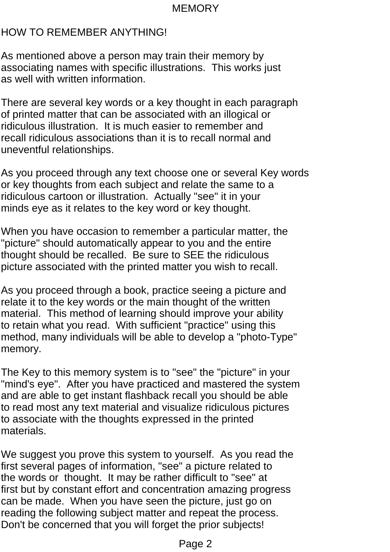## HOW TO REMEMBER ANYTHING!

As mentioned above a person may train their memory by associating names with specific illustrations. This works just as well with written information.

There are several key words or a key thought in each paragraph of printed matter that can be associated with an illogical or ridiculous illustration. It is much easier to remember and recall ridiculous associations than it is to recall normal and uneventful relationships.

As you proceed through any text choose one or several Key words or key thoughts from each subject and relate the same to a ridiculous cartoon or illustration. Actually "see" it in your minds eye as it relates to the key word or key thought.

When you have occasion to remember a particular matter, the "picture" should automatically appear to you and the entire thought should be recalled. Be sure to SEE the ridiculous picture associated with the printed matter you wish to recall.

As you proceed through a book, practice seeing a picture and relate it to the key words or the main thought of the written material. This method of learning should improve your ability to retain what you read. With sufficient "practice" using this method, many individuals will be able to develop a "photo-Type" memory.

The Key to this memory system is to "see" the "picture" in your "mind's eye". After you have practiced and mastered the system and are able to get instant flashback recall you should be able to read most any text material and visualize ridiculous pictures to associate with the thoughts expressed in the printed materials.

We suggest you prove this system to yourself. As you read the first several pages of information, "see" a picture related to the words or thought. It may be rather difficult to "see" at first but by constant effort and concentration amazing progress can be made. When you have seen the picture, just go on reading the following subject matter and repeat the process. Don't be concerned that you will forget the prior subjects!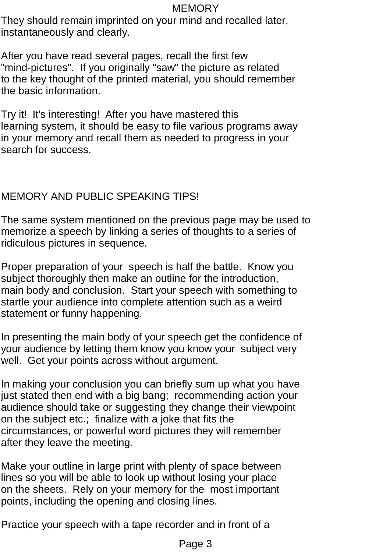They should remain imprinted on your mind and recalled later, instantaneously and clearly.

After you have read several pages, recall the first few "mind-pictures". If you originally "saw" the picture as related to the key thought of the printed material, you should remember the basic information.

Try it! It's interesting! After you have mastered this learning system, it should be easy to file various programs away in your memory and recall them as needed to progress in your search for success.

# MEMORY AND PUBLIC SPEAKING TIPS!

The same system mentioned on the previous page may be used to memorize a speech by linking a series of thoughts to a series of ridiculous pictures in sequence.

Proper preparation of your speech is half the battle. Know you subject thoroughly then make an outline for the introduction, main body and conclusion. Start your speech with something to startle your audience into complete attention such as a weird statement or funny happening.

In presenting the main body of your speech get the confidence of your audience by letting them know you know your subject very well. Get your points across without argument.

In making your conclusion you can briefly sum up what you have just stated then end with a big bang; recommending action your audience should take or suggesting they change their viewpoint on the subject etc.; finalize with a joke that fits the circumstances, or powerful word pictures they will remember after they leave the meeting.

Make your outline in large print with plenty of space between lines so you will be able to look up without losing your place on the sheets. Rely on your memory for the most important points, including the opening and closing lines.

Practice your speech with a tape recorder and in front of a